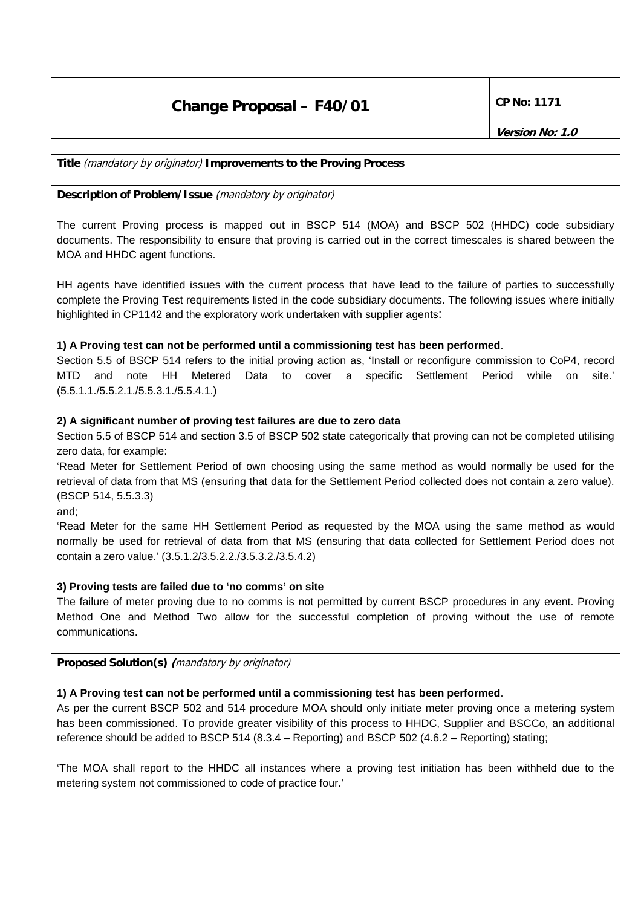# **Change Proposal – F40/01 CP No: 1171**

**Title** (mandatory by originator) **Improvements to the Proving Process**

**Description of Problem/Issue** (mandatory by originator)

The current Proving process is mapped out in BSCP 514 (MOA) and BSCP 502 (HHDC) code subsidiary documents. The responsibility to ensure that proving is carried out in the correct timescales is shared between the MOA and HHDC agent functions.

HH agents have identified issues with the current process that have lead to the failure of parties to successfully complete the Proving Test requirements listed in the code subsidiary documents. The following issues where initially highlighted in CP1142 and the exploratory work undertaken with supplier agents:

#### **1) A Proving test can not be performed until a commissioning test has been performed**.

Section 5.5 of BSCP 514 refers to the initial proving action as, 'Install or reconfigure commission to CoP4, record MTD and note HH Metered Data to cover a specific Settlement Period while on site.' (5.5.1.1./5.5.2.1./5.5.3.1./5.5.4.1.)

#### **2) A significant number of proving test failures are due to zero data**

Section 5.5 of BSCP 514 and section 3.5 of BSCP 502 state categorically that proving can not be completed utilising zero data, for example:

'Read Meter for Settlement Period of own choosing using the same method as would normally be used for the retrieval of data from that MS (ensuring that data for the Settlement Period collected does not contain a zero value). (BSCP 514, 5.5.3.3)

and;

'Read Meter for the same HH Settlement Period as requested by the MOA using the same method as would normally be used for retrieval of data from that MS (ensuring that data collected for Settlement Period does not contain a zero value.' (3.5.1.2/3.5.2.2./3.5.3.2./3.5.4.2)

#### **3) Proving tests are failed due to 'no comms' on site**

The failure of meter proving due to no comms is not permitted by current BSCP procedures in any event. Proving Method One and Method Two allow for the successful completion of proving without the use of remote communications.

**Proposed Solution(s) (**mandatory by originator)

#### **1) A Proving test can not be performed until a commissioning test has been performed**.

As per the current BSCP 502 and 514 procedure MOA should only initiate meter proving once a metering system has been commissioned. To provide greater visibility of this process to HHDC, Supplier and BSCCo, an additional reference should be added to BSCP 514 (8.3.4 – Reporting) and BSCP 502 (4.6.2 – Reporting) stating;

'The MOA shall report to the HHDC all instances where a proving test initiation has been withheld due to the metering system not commissioned to code of practice four.'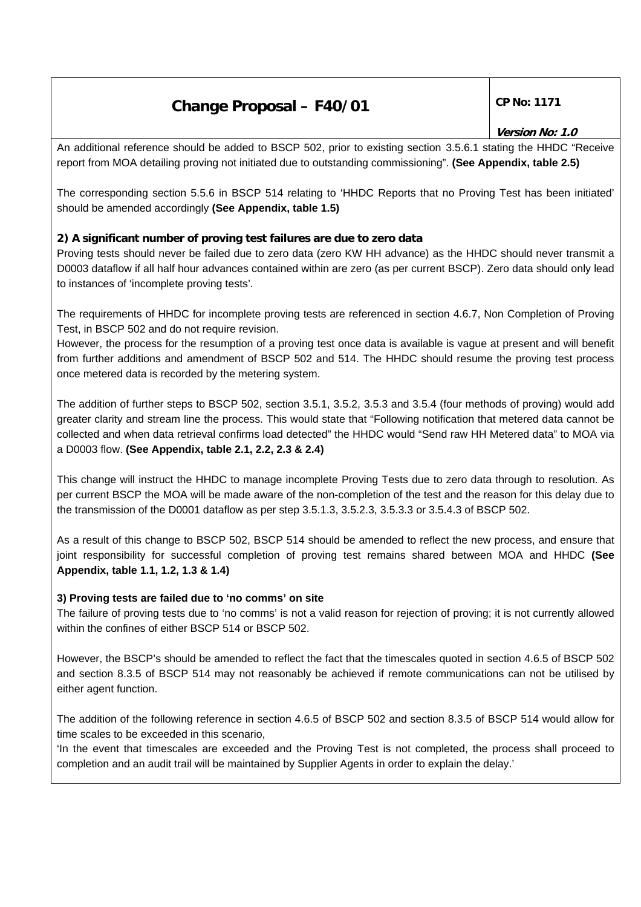# **Change Proposal – F40/01**  $\vert$  CP No: 1171

# **Version No: 1.0**

An additional reference should be added to BSCP 502, prior to existing section 3.5.6.1 stating the HHDC "Receive report from MOA detailing proving not initiated due to outstanding commissioning". **(See Appendix, table 2.5)** 

The corresponding section 5.5.6 in BSCP 514 relating to 'HHDC Reports that no Proving Test has been initiated' should be amended accordingly **(See Appendix, table 1.5)**

#### **2) A significant number of proving test failures are due to zero data**

Proving tests should never be failed due to zero data (zero KW HH advance) as the HHDC should never transmit a D0003 dataflow if all half hour advances contained within are zero (as per current BSCP). Zero data should only lead to instances of 'incomplete proving tests'.

The requirements of HHDC for incomplete proving tests are referenced in section 4.6.7, Non Completion of Proving Test, in BSCP 502 and do not require revision.

However, the process for the resumption of a proving test once data is available is vague at present and will benefit from further additions and amendment of BSCP 502 and 514. The HHDC should resume the proving test process once metered data is recorded by the metering system.

The addition of further steps to BSCP 502, section 3.5.1, 3.5.2, 3.5.3 and 3.5.4 (four methods of proving) would add greater clarity and stream line the process. This would state that "Following notification that metered data cannot be collected and when data retrieval confirms load detected" the HHDC would "Send raw HH Metered data" to MOA via a D0003 flow. **(See Appendix, table 2.1, 2.2, 2.3 & 2.4)** 

This change will instruct the HHDC to manage incomplete Proving Tests due to zero data through to resolution. As per current BSCP the MOA will be made aware of the non-completion of the test and the reason for this delay due to the transmission of the D0001 dataflow as per step 3.5.1.3, 3.5.2.3, 3.5.3.3 or 3.5.4.3 of BSCP 502.

As a result of this change to BSCP 502, BSCP 514 should be amended to reflect the new process, and ensure that joint responsibility for successful completion of proving test remains shared between MOA and HHDC **(See Appendix, table 1.1, 1.2, 1.3 & 1.4)**

#### **3) Proving tests are failed due to 'no comms' on site**

The failure of proving tests due to 'no comms' is not a valid reason for rejection of proving; it is not currently allowed within the confines of either BSCP 514 or BSCP 502.

However, the BSCP's should be amended to reflect the fact that the timescales quoted in section 4.6.5 of BSCP 502 and section 8.3.5 of BSCP 514 may not reasonably be achieved if remote communications can not be utilised by either agent function.

The addition of the following reference in section 4.6.5 of BSCP 502 and section 8.3.5 of BSCP 514 would allow for time scales to be exceeded in this scenario,

'In the event that timescales are exceeded and the Proving Test is not completed, the process shall proceed to completion and an audit trail will be maintained by Supplier Agents in order to explain the delay.'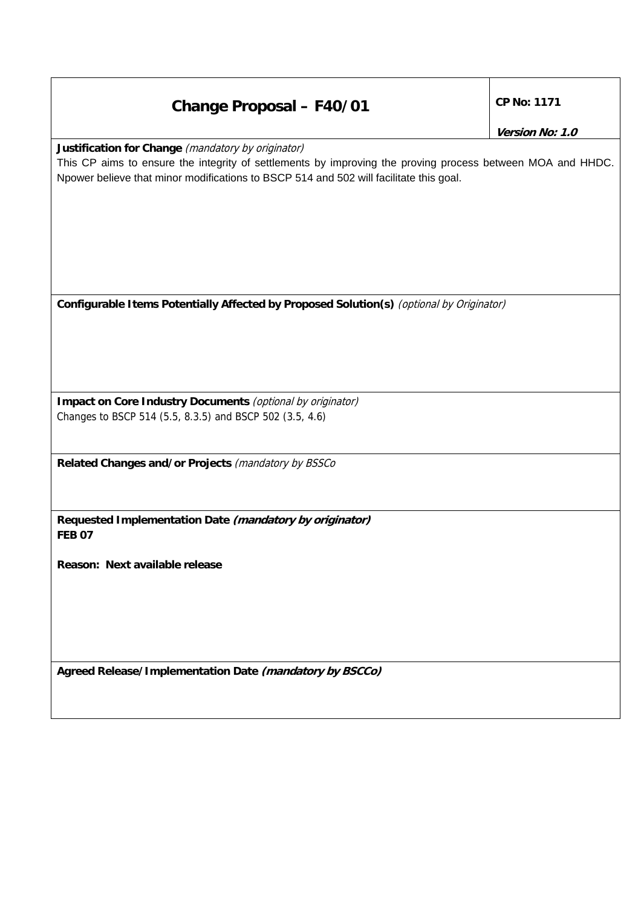# **Change Proposal – F40/01 CP No: 1171**

**Justification for Change** (mandatory by originator)

This CP aims to ensure the integrity of settlements by improving the proving process between MOA and HHDC. Npower believe that minor modifications to BSCP 514 and 502 will facilitate this goal.

**Configurable Items Potentially Affected by Proposed Solution(s)** (optional by Originator)

**Impact on Core Industry Documents** (optional by originator) Changes to BSCP 514 (5.5, 8.3.5) and BSCP 502 (3.5, 4.6)

**Related Changes and/or Projects** (mandatory by BSSCo

**Requested Implementation Date (mandatory by originator) FEB 07** 

**Reason: Next available release** 

**Agreed Release/Implementation Date (mandatory by BSCCo)**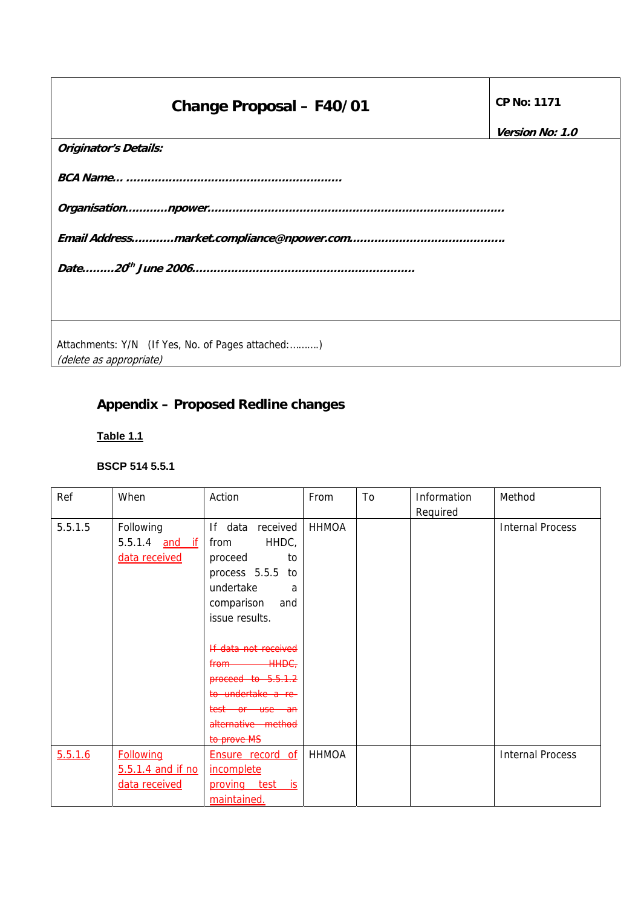# **Change Proposal – F40/01 CP No: 1171**

**Version No: 1.0** 

| <b>Originator's Details:</b>                      |  |
|---------------------------------------------------|--|
|                                                   |  |
|                                                   |  |
|                                                   |  |
|                                                   |  |
|                                                   |  |
|                                                   |  |
|                                                   |  |
| Attachments: Y/N (If Yes, No. of Pages attached:) |  |
| (delete as appropriate)                           |  |

# **Appendix – Proposed Redline changes**

# **Table 1.1**

| Ref     | When              | Action                  | From         | To | Information | Method                  |
|---------|-------------------|-------------------------|--------------|----|-------------|-------------------------|
|         |                   |                         |              |    | Required    |                         |
| 5.5.1.5 | Following         | If data received        | <b>HHMOA</b> |    |             | <b>Internal Process</b> |
|         | 5.5.1.4 and if    | HHDC,<br>from           |              |    |             |                         |
|         | data received     | proceed<br>to           |              |    |             |                         |
|         |                   | process 5.5.5 to        |              |    |             |                         |
|         |                   | undertake<br>a          |              |    |             |                         |
|         |                   | comparison<br>and       |              |    |             |                         |
|         |                   | issue results.          |              |    |             |                         |
|         |                   |                         |              |    |             |                         |
|         |                   | If data not received    |              |    |             |                         |
|         |                   | <b>HHDC</b><br>from     |              |    |             |                         |
|         |                   | proceed to 5.5.1.2      |              |    |             |                         |
|         |                   | to undertake a re-      |              |    |             |                         |
|         |                   | test or use an          |              |    |             |                         |
|         |                   | alternative method      |              |    |             |                         |
|         |                   | to prove MS             |              |    |             |                         |
| 5.5.1.6 | <b>Following</b>  | <b>Ensure record of</b> | <b>HHMOA</b> |    |             | <b>Internal Process</b> |
|         | 5.5.1.4 and if no | incomplete              |              |    |             |                         |
|         | data received     | proving test is         |              |    |             |                         |
|         |                   | maintained.             |              |    |             |                         |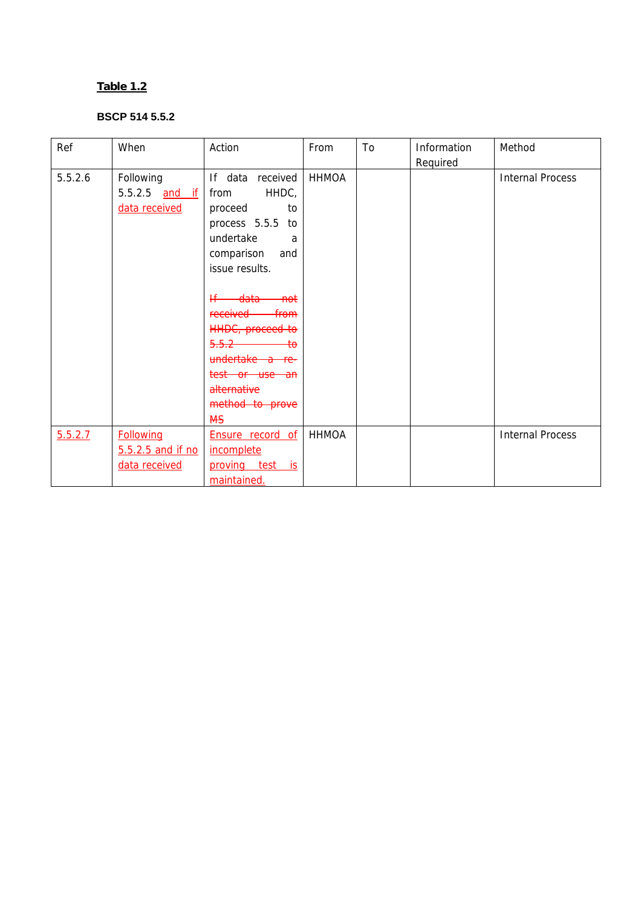| Ref     | When              | Action                   | From         | To | Information | Method                  |
|---------|-------------------|--------------------------|--------------|----|-------------|-------------------------|
|         |                   |                          |              |    | Required    |                         |
| 5.5.2.6 | Following         | If data received         | <b>HHMOA</b> |    |             | <b>Internal Process</b> |
|         | 5.5.2.5 and if    | HHDC,<br>from            |              |    |             |                         |
|         | data received     | proceed<br>to            |              |    |             |                         |
|         |                   | process 5.5.5 to         |              |    |             |                         |
|         |                   | undertake<br>a           |              |    |             |                         |
|         |                   | comparison<br>and        |              |    |             |                         |
|         |                   | issue results.           |              |    |             |                         |
|         |                   |                          |              |    |             |                         |
|         |                   | <del>data not</del><br>₭ |              |    |             |                         |
|         |                   | received from            |              |    |             |                         |
|         |                   | HHDC, proceed to         |              |    |             |                         |
|         |                   | $5.5.2$ to               |              |    |             |                         |
|         |                   | undertake a re-          |              |    |             |                         |
|         |                   | test or use an           |              |    |             |                         |
|         |                   | alternative              |              |    |             |                         |
|         |                   | method to prove          |              |    |             |                         |
|         |                   | <b>MS</b>                |              |    |             |                         |
| 5.5.2.7 | <b>Following</b>  | Ensure record of         | <b>HHMOA</b> |    |             | <b>Internal Process</b> |
|         | 5.5.2.5 and if no | <i>incomplete</i>        |              |    |             |                         |
|         | data received     | proving test is          |              |    |             |                         |
|         |                   | maintained.              |              |    |             |                         |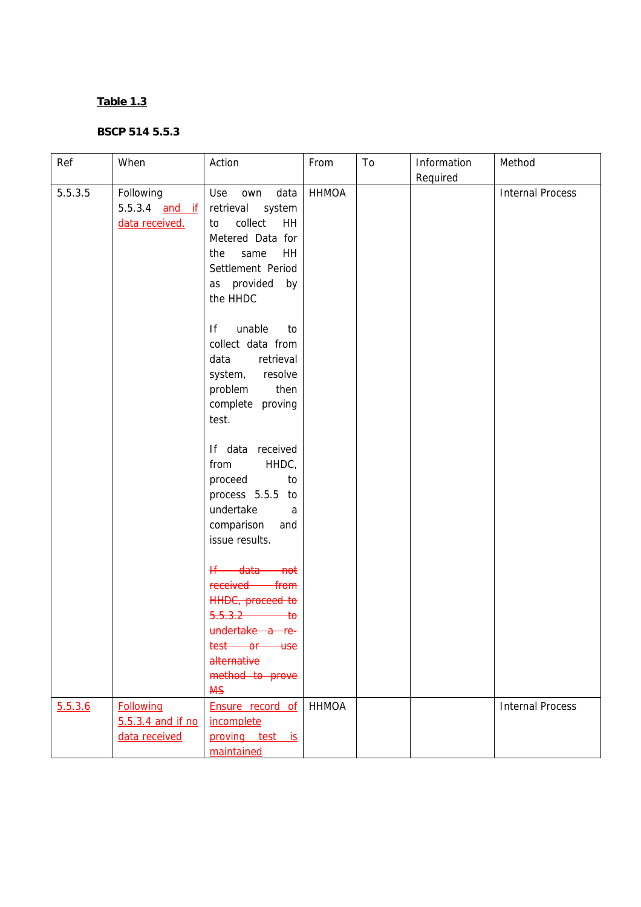| Ref     | When                                                   | Action                                                                                                                                                                                                      | From         | To | Information<br>Required | Method                  |
|---------|--------------------------------------------------------|-------------------------------------------------------------------------------------------------------------------------------------------------------------------------------------------------------------|--------------|----|-------------------------|-------------------------|
| 5.5.3.5 | Following<br>5.5.3.4 and if<br>data received.          | Use<br>own<br>data<br>retrieval<br>system<br>collect<br>HH<br>to<br>Metered Data for<br>same<br>HH<br>the<br>Settlement Period<br>as provided by<br>the HHDC                                                | <b>HHMOA</b> |    |                         | <b>Internal Process</b> |
|         |                                                        | unable<br>lf<br>to<br>collect data from<br>data<br>retrieval<br>system, resolve<br>problem<br>then<br>complete proving<br>test.                                                                             |              |    |                         |                         |
|         |                                                        | If data received<br>HHDC,<br>from<br>proceed<br>to<br>process 5.5.5 to<br>undertake<br>a<br>comparison<br>and<br>issue results.                                                                             |              |    |                         |                         |
|         |                                                        | <del>If data</del><br><del>not</del><br>received<br>from<br><b>HHDC</b> , proceed to<br>5.5.3.2<br>$\overline{\textbf{t}}$<br>undertake a re-<br>test or use<br>alternative<br>method to prove<br><b>MS</b> |              |    |                         |                         |
| 5.5.3.6 | <b>Following</b><br>5.5.3.4 and if no<br>data received | Ensure record of<br>incomplete<br>proving test is<br>maintained                                                                                                                                             | <b>HHMOA</b> |    |                         | <b>Internal Process</b> |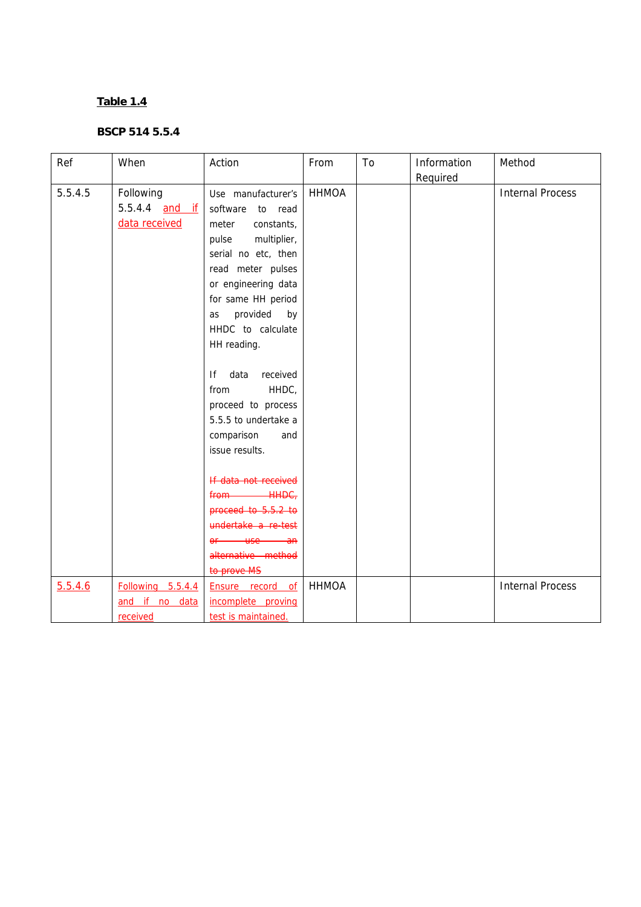| Ref     | When                                                | Action                                                                                                                                                                                                                                                                                                                                                                                                                                                                                                                                                            | From         | To | Information<br>Required | Method                  |
|---------|-----------------------------------------------------|-------------------------------------------------------------------------------------------------------------------------------------------------------------------------------------------------------------------------------------------------------------------------------------------------------------------------------------------------------------------------------------------------------------------------------------------------------------------------------------------------------------------------------------------------------------------|--------------|----|-------------------------|-------------------------|
| 5.5.4.5 | Following<br>5.5.4.4 <u>and if</u><br>data received | Use manufacturer's<br>software<br>to read<br>constants,<br>meter<br>multiplier,<br>pulse<br>serial no etc, then<br>read meter pulses<br>or engineering data<br>for same HH period<br>provided by<br>as<br>HHDC to calculate<br>HH reading.<br>If<br>data<br>received<br>HHDC,<br>from<br>proceed to process<br>5.5.5 to undertake a<br>comparison<br>and<br>issue results.<br>If data not received<br><del>HHDC,</del><br>from-<br>proceed to 5.5.2 to<br>undertake a re-test<br><u>use</u><br>$\theta$ f<br><del>an -</del><br>alternative method<br>to prove MS | <b>HHMOA</b> |    |                         | <b>Internal Process</b> |
| 5.5.4.6 | Following 5.5.4.4<br>and if no data<br>received     | Ensure record of<br>incomplete proving<br>test is maintained.                                                                                                                                                                                                                                                                                                                                                                                                                                                                                                     | <b>HHMOA</b> |    |                         | <b>Internal Process</b> |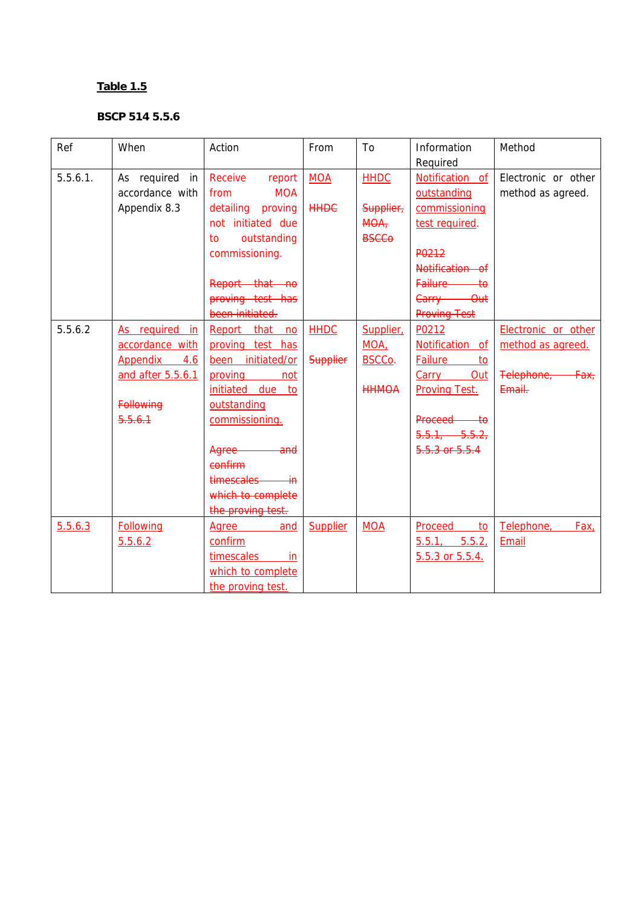| Ref      | When                                                                      | Action                                                                                                           | From                           | To                                                | Information<br>Required                                                     | Method                                                                |
|----------|---------------------------------------------------------------------------|------------------------------------------------------------------------------------------------------------------|--------------------------------|---------------------------------------------------|-----------------------------------------------------------------------------|-----------------------------------------------------------------------|
| 5.5.6.1. | As required in<br>accordance with<br>Appendix 8.3                         | Receive<br>report<br><b>MOA</b><br>from<br>detailing proving<br>not initiated due<br>outstanding<br>to           | <b>MOA</b><br><b>HHDC</b>      | <b>HHDC</b><br>Supplier,<br>$MOA$<br><b>BSCCo</b> | Notification of<br>outstanding<br>commissioning<br>test required.           | Electronic or other<br>method as agreed.                              |
|          |                                                                           | commissioning.<br>Report that no<br>proving test has                                                             |                                |                                                   | P0212<br>Notification of<br>Failure to<br>Carry Out                         |                                                                       |
|          |                                                                           | been initiated.                                                                                                  |                                |                                                   | <b>Proving Test</b>                                                         |                                                                       |
| 5.5.6.2  | As required<br>in<br>accordance with<br>Appendix 4.6<br>and after 5.5.6.1 | Report that no<br>proving test has<br>been initiated/or<br>proving not<br>initiated due to                       | <b>HHDC</b><br><b>Supplier</b> | Supplier<br>MOA,<br>BSCCo.<br><b>HHMOA</b>        | P0212<br>Notification of<br>Failure to<br>Carry Out<br><b>Proving Test.</b> | Electronic or other<br>method as agreed.<br>Felephone, Fax,<br>Email: |
|          | Following<br>5.5.6.1                                                      | outstanding<br>commissioning.<br>Agree and<br>confirm<br>timescales in<br>which to complete<br>the proving test. |                                |                                                   | Proceed to<br>5.5.1, 5.5.2,<br>5.5.3 or 5.5.4                               |                                                                       |
| 5.5.6.3  | <b>Following</b><br>5.5.6.2                                               | and<br>Agree<br>confirm<br>timescales<br>in.<br>which to complete<br>the proving test.                           | Supplier                       | <b>MOA</b>                                        | <b>Proceed</b><br>$\overline{10}$<br>5.5.1, 5.5.2<br>5.5.3 or 5.5.4.        | Telephone,<br>Fax,<br>Email                                           |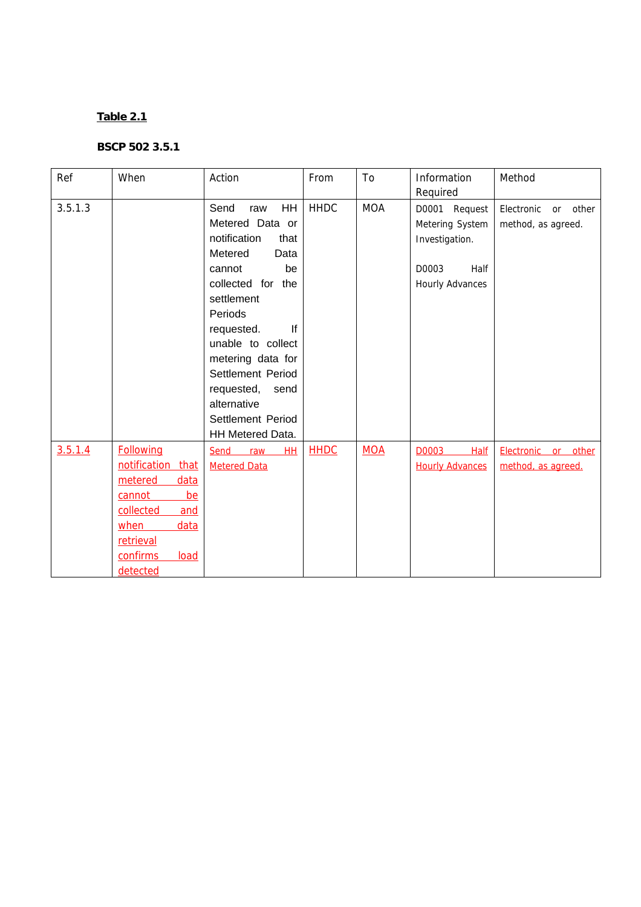| Ref     | When                    | Action                                                                                                                                                                                                                                                                                                         | From        | To         | Information                                                                                   | Method                                       |
|---------|-------------------------|----------------------------------------------------------------------------------------------------------------------------------------------------------------------------------------------------------------------------------------------------------------------------------------------------------------|-------------|------------|-----------------------------------------------------------------------------------------------|----------------------------------------------|
|         |                         |                                                                                                                                                                                                                                                                                                                |             |            | Required                                                                                      |                                              |
| 3.5.1.3 |                         | HH<br>Send<br>raw<br>Metered Data or<br>notification<br>that<br>Metered<br>Data<br>be<br>cannot<br>collected for the<br>settlement<br>Periods<br>If<br>requested.<br>unable to collect<br>metering data for<br>Settlement Period<br>requested,<br>send<br>alternative<br>Settlement Period<br>HH Metered Data. | <b>HHDC</b> | <b>MOA</b> | D0001 Request<br>Metering System<br>Investigation.<br>D0003<br>Half<br><b>Hourly Advances</b> | other<br>Electronic or<br>method, as agreed. |
| 3.5.1.4 | <b>Following</b>        | Send<br>raw<br>HH                                                                                                                                                                                                                                                                                              | <b>HHDC</b> | <b>MOA</b> | D0003<br><b>Half</b>                                                                          | Electronic or<br>other                       |
|         | notification that       | <b>Metered Data</b>                                                                                                                                                                                                                                                                                            |             |            | <b>Hourly Advances</b>                                                                        | method, as agreed.                           |
|         | metered<br>data         |                                                                                                                                                                                                                                                                                                                |             |            |                                                                                               |                                              |
|         | cannot<br>be            |                                                                                                                                                                                                                                                                                                                |             |            |                                                                                               |                                              |
|         | collected<br>and        |                                                                                                                                                                                                                                                                                                                |             |            |                                                                                               |                                              |
|         | data<br>when            |                                                                                                                                                                                                                                                                                                                |             |            |                                                                                               |                                              |
|         | retrieval               |                                                                                                                                                                                                                                                                                                                |             |            |                                                                                               |                                              |
|         | <b>confirms</b><br>load |                                                                                                                                                                                                                                                                                                                |             |            |                                                                                               |                                              |
|         | detected                |                                                                                                                                                                                                                                                                                                                |             |            |                                                                                               |                                              |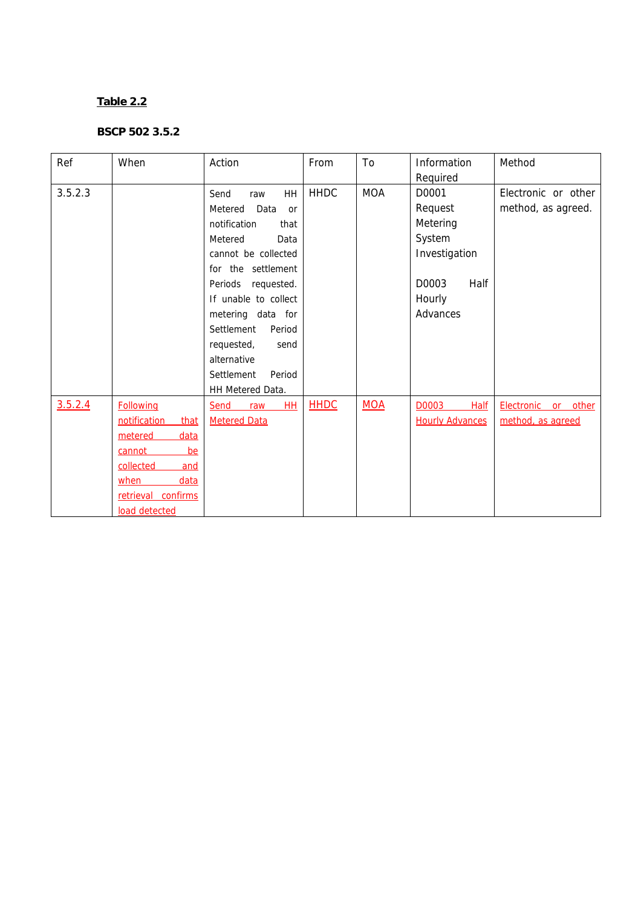| Ref     | When                 | Action                               | From        | To         | Information            | Method                 |
|---------|----------------------|--------------------------------------|-------------|------------|------------------------|------------------------|
|         |                      |                                      |             |            | Required               |                        |
| 3.5.2.3 |                      | <b>HH</b><br>Send<br>raw             | <b>HHDC</b> | <b>MOA</b> | D0001                  | Electronic or other    |
|         |                      | Metered<br>Data<br><b>or</b>         |             |            | Request                | method, as agreed.     |
|         |                      | notification<br>that                 |             |            | Metering               |                        |
|         |                      | Metered<br>Data                      |             |            | System                 |                        |
|         |                      | cannot be collected                  |             |            | Investigation          |                        |
|         |                      | for the settlement                   |             |            |                        |                        |
|         |                      | Periods requested.                   |             |            | D0003<br>Half          |                        |
|         |                      | If unable to collect                 |             |            | Hourly                 |                        |
|         |                      | metering data for                    |             |            | Advances               |                        |
|         |                      | Settlement<br>Period                 |             |            |                        |                        |
|         |                      | requested,<br>send                   |             |            |                        |                        |
|         |                      | alternative                          |             |            |                        |                        |
|         |                      | Settlement<br>Period                 |             |            |                        |                        |
|         |                      | HH Metered Data.                     |             |            |                        |                        |
| 3.5.2.4 | <b>Following</b>     | H <sub>H</sub><br><b>Send</b><br>raw | <b>HHDC</b> | <b>MOA</b> | D0003<br><b>Half</b>   | Electronic or<br>other |
|         | notification<br>that | <b>Metered Data</b>                  |             |            | <b>Hourly Advances</b> | method, as agreed      |
|         | metered<br>data      |                                      |             |            |                        |                        |
|         | cannot<br>be         |                                      |             |            |                        |                        |
|         | collected<br>and     |                                      |             |            |                        |                        |
|         | data<br>when         |                                      |             |            |                        |                        |
|         | retrieval confirms   |                                      |             |            |                        |                        |
|         | load detected        |                                      |             |            |                        |                        |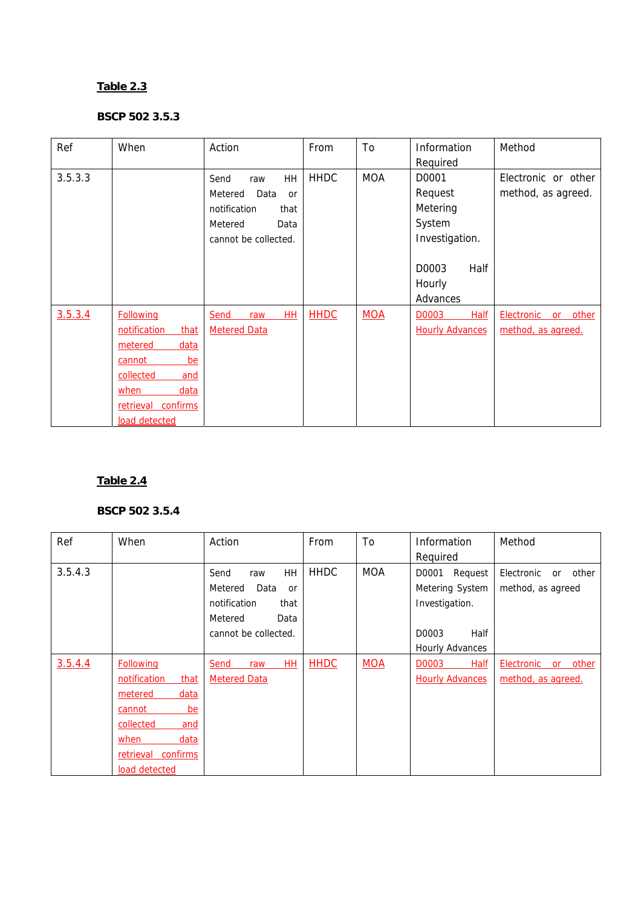#### **BSCP 502 3.5.3**

| Ref     | When                                                                                                                                                   | Action                                                                                                        | From        | To         | Information<br>Required                                  | Method                                    |
|---------|--------------------------------------------------------------------------------------------------------------------------------------------------------|---------------------------------------------------------------------------------------------------------------|-------------|------------|----------------------------------------------------------|-------------------------------------------|
| 3.5.3.3 |                                                                                                                                                        | HH<br>Send<br>raw<br>Metered<br>Data<br>or<br>notification<br>that<br>Metered<br>Data<br>cannot be collected. | <b>HHDC</b> | <b>MOA</b> | D0001<br>Request<br>Metering<br>System<br>Investigation. | Electronic or other<br>method, as agreed. |
|         |                                                                                                                                                        |                                                                                                               |             |            | Half<br>D0003<br>Hourly<br>Advances                      |                                           |
| 3.5.3.4 | <b>Following</b><br>notification<br>that<br>metered<br>data<br>be<br>cannot<br>collected<br>and<br>data<br>when<br>retrieval confirms<br>load detected | HH<br>Send<br>raw<br><b>Metered Data</b>                                                                      | <b>HHDC</b> | <b>MOA</b> | D0003<br><b>Half</b><br><b>Hourly Advances</b>           | Electronic or other<br>method, as agreed. |

# **Table 2.4**

| Ref     | When                 | Action                       | From        | To         | Information            | Method                    |
|---------|----------------------|------------------------------|-------------|------------|------------------------|---------------------------|
|         |                      |                              |             |            | Required               |                           |
| 3.5.4.3 |                      | <b>HH</b><br>Send<br>raw     | <b>HHDC</b> | <b>MOA</b> | D0001<br>Request       | other<br>Electronic<br>or |
|         |                      | Metered<br>Data<br><b>or</b> |             |            | Metering System        | method, as agreed         |
|         |                      | notification<br>that         |             |            | Investigation.         |                           |
|         |                      | Metered<br>Data              |             |            |                        |                           |
|         |                      | cannot be collected.         |             |            | Half<br>D0003          |                           |
|         |                      |                              |             |            | <b>Hourly Advances</b> |                           |
| 3.5.4.4 | <b>Following</b>     | <b>HH</b><br>Send<br>raw     | <b>HHDC</b> | <b>MOA</b> | D0003<br><b>Half</b>   | other<br>Electronic<br>or |
|         | notification<br>that | <b>Metered Data</b>          |             |            | <b>Hourly Advances</b> | method, as agreed.        |
|         | metered<br>data      |                              |             |            |                        |                           |
|         | be<br>cannot         |                              |             |            |                        |                           |
|         | collected<br>and     |                              |             |            |                        |                           |
|         | when<br>data         |                              |             |            |                        |                           |
|         | retrieval confirms   |                              |             |            |                        |                           |
|         | load detected        |                              |             |            |                        |                           |